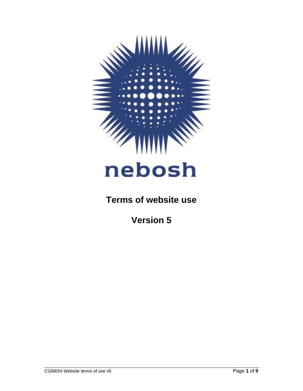

# **Terms of website use**

**Version 5**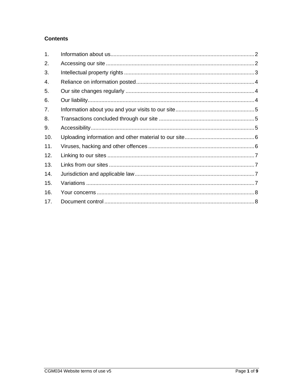# **Contents**

| 1.  |  |
|-----|--|
| 2.  |  |
| 3.  |  |
| 4.  |  |
| 5.  |  |
| 6.  |  |
| 7.  |  |
| 8.  |  |
| 9.  |  |
| 10. |  |
| 11. |  |
| 12. |  |
| 13. |  |
| 14. |  |
| 15. |  |
| 16. |  |
| 17. |  |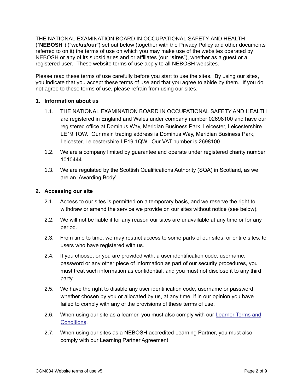THE NATIONAL EXAMINATION BOARD IN OCCUPATIONAL SAFETY AND HEALTH ("**NEBOSH**") ("**we/us/our**") set out below (together with the Privacy Policy and other documents referred to on it) the terms of use on which you may make use of the websites operated by NEBOSH or any of its subsidiaries and or affiliates (our "**sites**"), whether as a guest or a registered user. These website terms of use apply to all NEBOSH websites.

Please read these terms of use carefully before you start to use the sites. By using our sites, you indicate that you accept these terms of use and that you agree to abide by them. If you do not agree to these terms of use, please refrain from using our sites.

# <span id="page-2-0"></span>**1. Information about us**

- 1.1. THE NATIONAL EXAMINATION BOARD IN OCCUPATIONAL SAFETY AND HEALTH are registered in England and Wales under company number 02698100 and have our registered office at Dominus Way, Meridian Business Park, Leicester, Leicestershire LE19 1QW. Our main trading address is Dominus Way, Meridian Business Park, Leicester, Leicestershire LE19 1QW. Our VAT number is 2698100.
- 1.2. We are a company limited by guarantee and operate under registered charity number 1010444.
- 1.3. We are regulated by the Scottish Qualifications Authority (SQA) in Scotland, as we are an 'Awarding Body'.

# <span id="page-2-1"></span>**2. Accessing our site**

- 2.1. Access to our sites is permitted on a temporary basis, and we reserve the right to withdraw or amend the service we provide on our sites without notice (see below).
- 2.2. We will not be liable if for any reason our sites are unavailable at any time or for any period.
- 2.3. From time to time, we may restrict access to some parts of our sites, or entire sites, to users who have registered with us.
- 2.4. If you choose, or you are provided with, a user identification code, username, password or any other piece of information as part of our security procedures, you must treat such information as confidential, and you must not disclose it to any third party.
- 2.5. We have the right to disable any user identification code, username or password, whether chosen by you or allocated by us, at any time, if in our opinion you have failed to comply with any of the provisions of these terms of use.
- 2.6. When using our site as a learner, you must also comply with our Learner Terms and [Conditions.](https://www.nebosh.org.uk/policies-and-procedures/learner-terms-and-conditions/)
- 2.7. When using our sites as a NEBOSH accredited Learning Partner, you must also comply with our Learning Partner Agreement.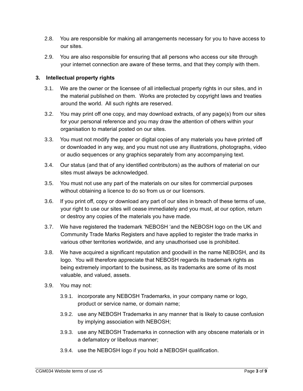- 2.8. You are responsible for making all arrangements necessary for you to have access to our sites.
- 2.9. You are also responsible for ensuring that all persons who access our site through your internet connection are aware of these terms, and that they comply with them.

# <span id="page-3-0"></span>**3. Intellectual property rights**

- 3.1. We are the owner or the licensee of all intellectual property rights in our sites, and in the material published on them. Works are protected by copyright laws and treaties around the world. All such rights are reserved.
- 3.2. You may print off one copy, and may download extracts, of any page(s) from our sites for your personal reference and you may draw the attention of others within your organisation to material posted on our sites.
- 3.3. You must not modify the paper or digital copies of any materials you have printed off or downloaded in any way, and you must not use any illustrations, photographs, video or audio sequences or any graphics separately from any accompanying text.
- 3.4. Our status (and that of any identified contributors) as the authors of material on our sites must always be acknowledged.
- 3.5. You must not use any part of the materials on our sites for commercial purposes without obtaining a licence to do so from us or our licensors.
- 3.6. If you print off, copy or download any part of our sites in breach of these terms of use, your right to use our sites will cease immediately and you must, at our option, return or destroy any copies of the materials you have made.
- 3.7. We have registered the trademark 'NEBOSH 'and the NEBOSH logo on the UK and Community Trade Marks Registers and have applied to register the trade marks in various other territories worldwide, and any unauthorised use is prohibited.
- 3.8. We have acquired a significant reputation and goodwill in the name NEBOSH, and its logo. You will therefore appreciate that NEBOSH regards its trademark rights as being extremely important to the business, as its trademarks are some of its most valuable, and valued, assets.
- 3.9. You may not:
	- 3.9.1. incorporate any NEBOSH Trademarks, in your company name or logo, product or service name, or domain name;
	- 3.9.2. use any NEBOSH Trademarks in any manner that is likely to cause confusion by implying association with NEBOSH;
	- 3.9.3. use any NEBOSH Trademarks in connection with any obscene materials or in a defamatory or libellous manner;
	- 3.9.4. use the NEBOSH logo if you hold a NEBOSH qualification.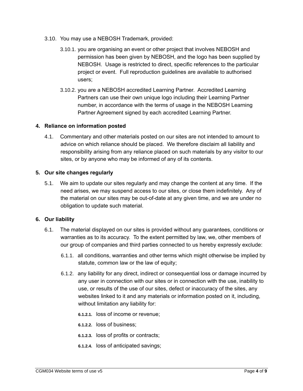- 3.10. You may use a NEBOSH Trademark, provided:
	- 3.10.1. you are organising an event or other project that involves NEBOSH and permission has been given by NEBOSH, and the logo has been supplied by NEBOSH. Usage is restricted to direct, specific references to the particular project or event. Full reproduction guidelines are available to authorised users;
	- 3.10.2. you are a NEBOSH accredited Learning Partner. Accredited Learning Partners can use their own unique logo including their Learning Partner number, in accordance with the terms of usage in the NEBOSH Learning Partner Agreement signed by each accredited Learning Partner.

# <span id="page-4-0"></span>**4. Reliance on information posted**

4.1. Commentary and other materials posted on our sites are not intended to amount to advice on which reliance should be placed. We therefore disclaim all liability and responsibility arising from any reliance placed on such materials by any visitor to our sites, or by anyone who may be informed of any of its contents.

# <span id="page-4-1"></span>**5. Our site changes regularly**

5.1. We aim to update our sites regularly and may change the content at any time. If the need arises, we may suspend access to our sites, or close them indefinitely. Any of the material on our sites may be out-of-date at any given time, and we are under no obligation to update such material.

# <span id="page-4-2"></span>**6. Our liability**

- 6.1. The material displayed on our sites is provided without any guarantees, conditions or warranties as to its accuracy. To the extent permitted by law, we, other members of our group of companies and third parties connected to us hereby expressly exclude:
	- 6.1.1. all conditions, warranties and other terms which might otherwise be implied by statute, common law or the law of equity;
	- 6.1.2. any liability for any direct, indirect or consequential loss or damage incurred by any user in connection with our sites or in connection with the use, inability to use, or results of the use of our sites, defect or inaccuracy of the sites, any websites linked to it and any materials or information posted on it, including, without limitation any liability for:
		- **6.1.2.1.** loss of income or revenue;
		- **6.1.2.2.** loss of business;
		- **6.1.2.3.** loss of profits or contracts;
		- **6.1.2.4.** loss of anticipated savings;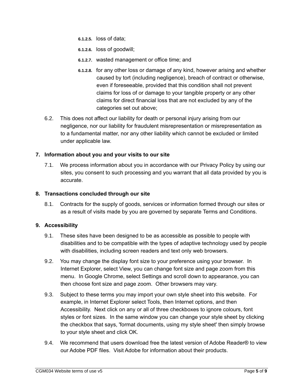- **6.1.2.5.** loss of data;
- **6.1.2.6.** loss of goodwill;
- **6.1.2.7.** wasted management or office time; and
- **6.1.2.8.** for any other loss or damage of any kind, however arising and whether caused by tort (including negligence), breach of contract or otherwise, even if foreseeable, provided that this condition shall not prevent claims for loss of or damage to your tangible property or any other claims for direct financial loss that are not excluded by any of the categories set out above;
- 6.2. This does not affect our liability for death or personal injury arising from our negligence, nor our liability for fraudulent misrepresentation or misrepresentation as to a fundamental matter, nor any other liability which cannot be excluded or limited under applicable law.

#### <span id="page-5-0"></span>**7. Information about you and your visits to our site**

7.1. We process information about you in accordance with our Privacy Policy by using our sites, you consent to such processing and you warrant that all data provided by you is accurate.

#### <span id="page-5-1"></span>**8. Transactions concluded through our site**

8.1. Contracts for the supply of goods, services or information formed through our sites or as a result of visits made by you are governed by separate Terms and Conditions.

#### <span id="page-5-2"></span>**9. Accessibility**

- 9.1. These sites have been designed to be as accessible as possible to people with disabilities and to be compatible with the types of adaptive technology used by people with disabilities, including screen readers and text only web browsers.
- 9.2. You may change the display font size to your preference using your browser. In Internet Explorer, select View, you can change font size and page zoom from this menu. In Google Chrome, select Settings and scroll down to appearance, you can then choose font size and page zoom. Other browsers may vary.
- 9.3. Subject to these terms you may import your own style sheet into this website. For example, in Internet Explorer select Tools, then Internet options, and then Accessibility. Next click on any or all of three checkboxes to ignore colours, font styles or font sizes. In the same window you can change your style sheet by clicking the checkbox that says, 'format documents, using my style sheet' then simply browse to your style sheet and click OK.
- 9.4. We recommend that users download free the latest version of Adobe Reader® to view our Adobe PDF files. Visit Adobe for information about their products.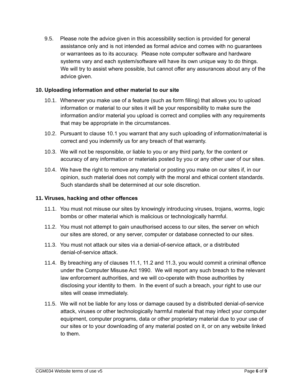9.5. Please note the advice given in this accessibility section is provided for general assistance only and is not intended as formal advice and comes with no guarantees or warrantees as to its accuracy. Please note computer software and hardware systems vary and each system/software will have its own unique way to do things. We will try to assist where possible, but cannot offer any assurances about any of the advice given.

# <span id="page-6-0"></span>**10. Uploading information and other material to our site**

- 10.1. Whenever you make use of a feature (such as form filling) that allows you to upload information or material to our sites it will be your responsibility to make sure the information and/or material you upload is correct and complies with any requirements that may be appropriate in the circumstances.
- 10.2. Pursuant to clause 10.1 you warrant that any such uploading of information/material is correct and you indemnify us for any breach of that warranty.
- 10.3. We will not be responsible, or liable to you or any third party, for the content or accuracy of any information or materials posted by you or any other user of our sites.
- 10.4. We have the right to remove any material or posting you make on our sites if, in our opinion, such material does not comply with the moral and ethical content standards. Such standards shall be determined at our sole discretion.

### <span id="page-6-1"></span>**11. Viruses, hacking and other offences**

- 11.1. You must not misuse our sites by knowingly introducing viruses, trojans, worms, logic bombs or other material which is malicious or technologically harmful.
- 11.2. You must not attempt to gain unauthorised access to our sites, the server on which our sites are stored, or any server, computer or database connected to our sites.
- 11.3. You must not attack our sites via a denial-of-service attack, or a distributed denial-of-service attack.
- 11.4. By breaching any of clauses 11.1, 11.2 and 11.3, you would commit a criminal offence under the Computer Misuse Act 1990. We will report any such breach to the relevant law enforcement authorities, and we will co-operate with those authorities by disclosing your identity to them. In the event of such a breach, your right to use our sites will cease immediately.
- 11.5. We will not be liable for any loss or damage caused by a distributed denial-of-service attack, viruses or other technologically harmful material that may infect your computer equipment, computer programs, data or other proprietary material due to your use of our sites or to your downloading of any material posted on it, or on any website linked to them.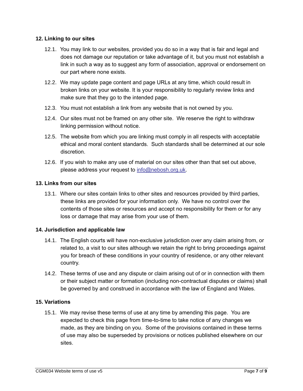#### <span id="page-7-0"></span>**12. Linking to our sites**

- 12.1. You may link to our websites, provided you do so in a way that is fair and legal and does not damage our reputation or take advantage of it, but you must not establish a link in such a way as to suggest any form of association, approval or endorsement on our part where none exists.
- 12.2. We may update page content and page URLs at any time, which could result in broken links on your website. It is your responsibility to regularly review links and make sure that they go to the intended page.
- 12.3. You must not establish a link from any website that is not owned by you.
- 12.4. Our sites must not be framed on any other site. We reserve the right to withdraw linking permission without notice.
- 12.5. The website from which you are linking must comply in all respects with acceptable ethical and moral content standards. Such standards shall be determined at our sole discretion.
- 12.6. If you wish to make any use of material on our sites other than that set out above, please address your request to [info@nebosh.org.uk.](mailto:info@nebosh.org.uk)

# <span id="page-7-1"></span>**13. Links from our sites**

13.1. Where our sites contain links to other sites and resources provided by third parties, these links are provided for your information only. We have no control over the contents of those sites or resources and accept no responsibility for them or for any loss or damage that may arise from your use of them.

# <span id="page-7-2"></span>**14. Jurisdiction and applicable law**

- 14.1. The English courts will have non-exclusive jurisdiction over any claim arising from, or related to, a visit to our sites although we retain the right to bring proceedings against you for breach of these conditions in your country of residence, or any other relevant country.
- 14.2. These terms of use and any dispute or claim arising out of or in connection with them or their subject matter or formation (including non-contractual disputes or claims) shall be governed by and construed in accordance with the law of England and Wales.

#### <span id="page-7-3"></span>**15. Variations**

15.1. We may revise these terms of use at any time by amending this page. You are expected to check this page from time-to-time to take notice of any changes we made, as they are binding on you. Some of the provisions contained in these terms of use may also be superseded by provisions or notices published elsewhere on our sites.